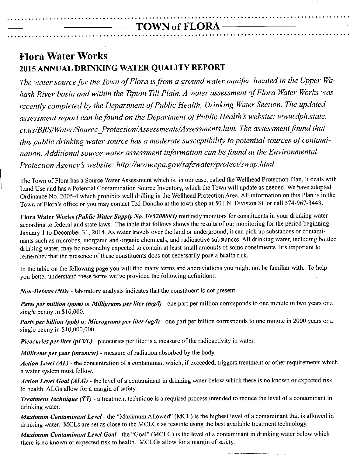#### • <sup>a</sup> •• **a.a. a ••• a •••• a a ••• a ••• a •••• a ••• a a •••• a a. aa a ••••• a a ••• a •••• a ••••• a ••• a a •••••• a a a •• a 0 ••••••• 00.**  $-TOWN$  of  $FLORA-$

**•••••• o •••• o •••••• o ••••• o ••••• a ••• o ••••••••• o ••••• <sup>O</sup> o •• o.a •••• o ••••••• oo ••• o ••••• a ••• <sup>O</sup>**

## **Flora Water Works 2015 ANNUAL DRINKING WATER QUALITY REPORT**

**ooo •• a ••••• <sup>O</sup>**

*The water source for the Town of Flora isfrom a ground water aquifer, located in the Upper Wabash River basin and within the Tipton Till Plain. A water assessment of Flora Water Works was recently completed by the Department of Public Health, Drinking Water Section. The updated assessment report can befound on the Department of Public Health* s *website: [www.dph.state.](http://www.dph.state.) ct.us/BRS/Water/Source Yrotection/Assessments/ Assessments. htm. The assessment found that this public drinking water source has a moderate susceptibility to potential sources of contamination. Additional source water assessment information can befound at the Environmental Protection Agency* s *website: <http://www.epa.gov/safewater/protect/swap.html.>*

The Town of Flora has a Source Water Assessment which is, in our case, called the Wellhead Protection Plan. It deals with Land Use and has a Potential Contamination Source Inventory, which the Town will update as needed. We have adopted Ordinance No. 2005-4 which prohibits well drilling in the Wellhead Protection Area. All information on this Plan is in the Town of Flora's office or you may contact Ted Donoho at the town shop at 501 N. Division St. or call 574-967-3443.

**Flora** Water Works *(Public Water Supply No. IN5208003)* routinely monitors for constituents in your drinking water according to federal and state laws. The table that follows shows the results of our monitoring for the period beginning January I to December 31,2014. As water travels over the land or underground, it can pick up substances or contaminants such as microbes, inorganic and organic chemicals, and radioactive substances. All drinking water, including bottled drinking water, may be reasonably expected to contain at least small amounts of some constituents. It's important to remember that the presence of these constituents does not necessarily pose a health risk.

In the table on the following page you will find many terms and abbreviations you might not be familiar with. To help you better understand these terms we've provided the following definitions:

*Non-Detects (ND) -* laboratory analysis indicates that the constituent is not present.

*Parts per million (ppm)* or *Milligrams per liter (mgll) -* one part per million corresponds to one minute in two years or a single penny in \$10,000.

*Parts per billion (ppb)* or *Micrograms per liter* (ug/l) - one part per billion corresponds to one minute in 2000 years or a single penny in \$10,000,000.

*Picocuries per liter (pCiIL) -* picocuries per liter is a measure of the radioactivity in water.

*Millirems per year (mrem/yr) -* measure of radiation absorbed by the body.

*Action Level (AL) -* the concentration of a contaminant which, if exceeded, triggers treatment or other requirements which a water system must follow.

*Action Level Goal (ALG) -* the level of a contaminant in drinking water below which there is no known or expected risk to health. ALGs allow for a margin of safety.

*Treatment Technique (TT) -* a treatment technique is a required process intended to reduce the level of a contaminant in drinking water.

*Maximum Contaminant Level -* the "Maximum Allowed" (MCL) is the highest level of a contaminant that is allowed in drinking water. MCLs are set as close to the MCLGs as feasible using the best available treatment technology.

*Maximum Contaminant Level Goal -* the "Goal" (MCLG) is the level of a contaminant in drinking water below which there is no known or expected risk to health. MCLGs allow for a margin of salety.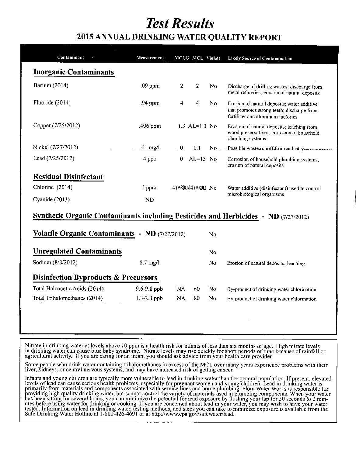# *Test Results*

### 2015 ANNUAL DRINKING WATER QUALITY REPORT

| Contaminant                                    | Measurement        |                         | MCLG MCL Violate |                | <b>Likely Source of Contamination</b>                                                                                          |
|------------------------------------------------|--------------------|-------------------------|------------------|----------------|--------------------------------------------------------------------------------------------------------------------------------|
| <b>Inorganic Contaminants</b>                  |                    |                         |                  |                |                                                                                                                                |
| Barium (2014)                                  | $.09$ ppm          | $\overline{2}$          | $\overline{2}$   | No.            | Discharge of drilling wastes; discharge from<br>metal refineries; erosion of natural deposits                                  |
| Fluoride (2014)                                | .94 ppm            | $\overline{\mathbf{4}}$ | 4                | No.            | Erosion of natural deposits; water additive<br>that promotes strong teeth; discharge from<br>fertilizer and aluminum factories |
| Copper (7/25/2012)                             | .406 ppm           |                         | 1.3 AL= $1.3$ No |                | Erosion of natural deposits; leaching from<br>wood preservatives; corrosion of household<br>plumbing systems                   |
| Nickel (7/27/2012)                             | $.01 \text{ mg}/l$ | $\cdot$ 0.              |                  |                | 0.1 No - Possible waste-runoff-from industry.                                                                                  |
| Lead (7/25/2012)                               | 4 ppb              | $\mathbf{0}$            | $AL=15$ No       |                | Corrosion of household plumbing systems;<br>erosion of natural deposits                                                        |
| <b>Residual Disinfectant</b>                   |                    |                         |                  |                |                                                                                                                                |
| Chlorine (2014)                                | 1 ppm              | 4 (MRDLG)4 (MRDL) No    |                  |                | Water additive (disinfectant) used to control                                                                                  |
|                                                |                    |                         |                  |                |                                                                                                                                |
| Cyanide (2011)                                 | <b>ND</b>          |                         |                  |                | microbiological organisms                                                                                                      |
|                                                |                    |                         |                  |                |                                                                                                                                |
|                                                |                    |                         |                  |                | <b>Synthetic Organic Contaminants including Pesticides and Herbicides - ND</b> (7/27/2012)                                     |
| Volatile Organic Contaminants - ND (7/27/2012) |                    |                         |                  | No             |                                                                                                                                |
| <b>Unregulated Contaminants</b>                |                    |                         |                  | N <sub>0</sub> |                                                                                                                                |
| Sodium (8/8/2012)                              | $8.7$ mg/l         |                         |                  | No             | Erosion of natural deposits; leaching                                                                                          |
| Disinfection Byproducts & Precursors           |                    |                         |                  |                |                                                                                                                                |
| Total Haloacetic Acids (2014)                  | 9.6-9.8 ppb        | NA.                     | 60               | N <sub>0</sub> | By-product of drinking water chlorination                                                                                      |

Nitrate in drinking water at levels above 10 ppm is a health risk for infants of less than six months of age. High nitrate levels in drinking water can cause blue baby syndrome. Nitrate levels may rise quickly for short periods of time because of rainfall or agricultural activity. If you are caring for an infant you should ask advice from your health care provider.

Some people who drink water containing trihalomethanes in excess of the MCL over many years experience problems with their liver, kidneys, or central nervous systems, and may have increased risk of getting cancer.

Infants and young children are typically more vulnerable to lead in drinking water than the general population. If present, elevated levels of lead can cause serious health problems, especially for pregnant women and young children. Lead in drinking water is primarily from materials and components associated with service lines and home plumbing. Flora Water Works is responsible for providing high quality drinking water, but cannot control the variety of materials used in plumbing components. When your water has been sittmg for several hours; you can minimize the potential for Ie-adexposure by flushing your tap for 30 seconds to 2 minutes before using water for drinking or cooking. If you are concerned about lead in your water, you may wish to have your water tested. Information on lead in drinking water, testing methods, and steps you can take to minimize exposure is available from the Safe Drinking Water Hotline at 1-800-426-4691 or at http://www.epa.gov/safewater/le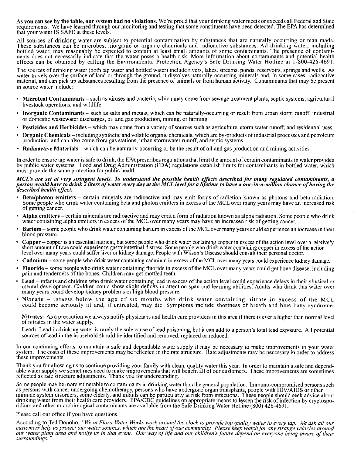As vou can see by the table, our system had no violations. We're proud that your drinking water meets or exceeds all Federal and State requirements. We have learned through our monitoring and testing that some constituents have been detected. The EPA has determine that your water IS SAFE at these levels.

All sources of drinking water are subject to potential contamination by substances that are naturally occurring or man made. These substances can be microbes, inorganic or organic chemicals and radioactive substances. All drinking water, including bottled water, may reasonably be expected to contain at least small amounts of some contaminants. The presence of contaminants does not necessarily indicate that the water poses a health risk. More information about contaminants and potential health effects can be obtained by calling the Environmental Protection Agency's Safe Drinking Water Hotline at 1-800-426-4691.

The sources of drinking water (both tap water and bottled water) include rivers, lakes, streams, ponds, reservoirs, springs and wells. As water travels over the surface of land or through the ground, it dissolves naturally-occurring minerals and, in some cases, radioactive material, and can pick up substances resulting from the presence of animals or from human activity. Contaminants that may be present in source water include:

- Microbial Contaminants such as viruses and bacteria, which may come from sewage treatment plants, septic systems, agricultural livestock operations, and wildlife
- Inorganic Contaminants such as salts and metals, which can be naturally-occurring or result from urban storm runoff, industrial or domestic wastewater discharges, oil and gas production, mining, or farming
- Pesticides and Herbicides which may come from a variety of sources such as agriculture, storm water runoff, and residential uses
- Organic Chemicals including synthetic and volatile organic chemicals, which are by-products of industrial processes and petroleum production, and can also come from gas stations, urban storm water runoff, and septic systems
- Radioactive Materials which can be naturally-occurring or be the result of oil and gas production and mining activities

In order to ensure tap water is safe to drink, the EPA prescribes regulations that limit the amount of certain contaminants in water provided by public water systems. Food and Drug Administration (FDA) regulations establish limits for contaminants in bottled water, which must provide the same protection for public health.

#### MCL's are set at very stringent levels. To understand the possible health effects described for many regulated contaminants, a person would have to drink 2 liters of water every day at the MCL level for a lifetime to have a one-in-a-million chance of having the *described health effect.*

- Beta/photon emitters certain minerals are radioactive and may emit forms of radiation known as photons and beta radiation. Some people who drink water containing beta and photon emitters in excess of the MCL over many years may have an increased risk of getting cancer.
- Alpha emitters certain minerals are radioactive and may emit a form of radiation known as alpha radiation. Some people who drink water containing alpha emitters in excess of the MCL over many years may have an increased risk of getting cancer.
- Barium some people who drink water containing barium in excess of the MCLover many years could experience an increase in their blood pressure.
- Copper copper is an essential nutrient, but some people who drink water containing copper in excess of the action level over a relatively short amount of time could experience gastrointestinal distress, Some people who drink water containing copper in excess of the action level over many years could suffer liver or kidney damage. People with Wilson's Disease should consult their personal doctor.
- Cadmium some people who drink water containing cadmium in excess of the MCL over many years could experience kidney damage.
- Fluoride some people who drink water containing fluoride in excess of the MCL over many years could get bone disease, including pain and tenderness of the bones. Children may get mottled teeth.
- Lead infants and children who drink water containing lead in excess of the action level could experience delays in their physical or mental development. Children could show slight deficits in attention span and learning abilities. Adults who drink this water over many years could develop kidney problems or high blood pressure.
- . Nitrate infants below the age of six months who drink water containing nitrate in excess of the MCL could become seriously ill and, if untreated, may die. Symptoms include shortness of breath and blue baby syndrome.

Nitrates: As a precaution we always notify physicians and health care providers in this area if there is ever a higher than normal level of nitrates in the water supply.

Lead: Lead in drinking water is rarely the sole cause of lead poisoning, but it can add to a person's total lead exposure. All potential sources of lead in the household should be identified and removed, replaced or reduced.

In our continuing efforts to maintain a safe and dependable water supply it may be necessary to make improvements in your water system. The costs of these improvements may be reflected in the rate structure. Rate adjustments may be necessary in order to address these improvements.

Thank you for allowing us to continue providing your family with clean, quality water this year. In order to maintain a safe and dependable water supply we sometimes need to make improvements that will benefit all of our customers. These improvements are sometimes reflected as rate structure adjustments, Thank you for understanding.

Some people may be more vulnerable to contaminants in drinking water than the general population. Immuno-compromised persons such as persons with cancer undergoing chemotherapy, persons who have undergone organ transplants, people with HIV/AIDS or other immune system disorders, some elderly, and infants can be particularly at risk from infections. These people should seek advice about drinking water from their health care providers. EPA/CDC guidelines on appropriate means to lessen the risk of infection by cryptosporidium and other microbiological contaminants are available from the Safe Drinking Water Hotline (800) 426-4691.

#### Please call our office if you have questions.

According to Ted Donoho, "We at Flora Water Works work around the clock to provide top quality water to every tap. We ask all our customers help us protect our water sources, which are the heart of our community. Please keep watch for any strange vehicles around our water plant area and notify us in that event. Our way of life and our children's future depend on everyone being aware of their *surroundmgs.*